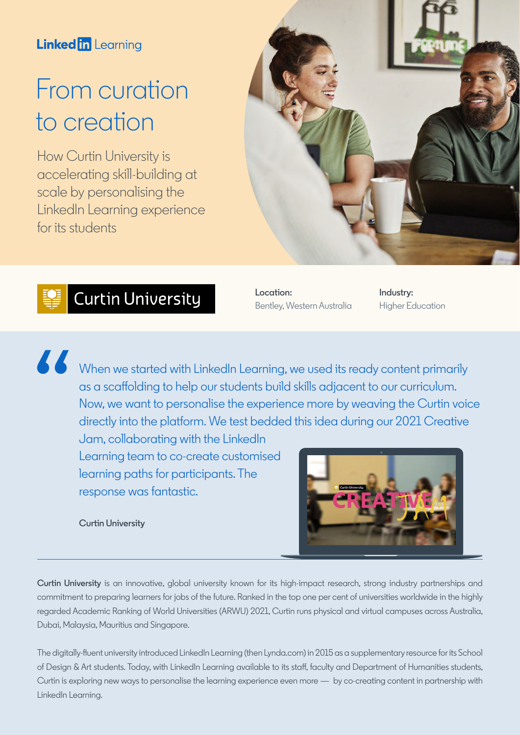### **Linked in Learning**

# From curation to creation

How Curtin University is accelerating skill-building at scale by personalising the LinkedIn Learning experience for its students



# **SECUTE** Curtin University

**Location:**  Bentley, Western Australia **Industry:**  Higher Education

When we started with LinkedIn Learning, we used its ready content primarily as a scaffolding to help our students build skills adjacent to our curriculum. Now, we want to personalise the experience more by weaving the Curtin voice directly into the platform. We test bedded this idea during our 2021 Creative

Jam, collaborating with the LinkedIn Learning team to co-create customised learning paths for participants. The response was fantastic.

**Curtin University**

"



**Curtin University** is an innovative, global university known for its high-impact research, strong industry partnerships and commitment to preparing learners for jobs of the future. Ranked in the top one per cent of universities worldwide in the highly regarded Academic Ranking of World Universities (ARWU) 2021, Curtin runs physical and virtual campuses across Australia, Dubai, Malaysia, Mauritius and Singapore.

The digitally-fluent university introduced LinkedIn Learning (then Lynda.com) in 2015 as a supplementary resource for its School of Design & Art students. Today, with LinkedIn Learning available to its staff, faculty and Department of Humanities students, Curtin is exploring new ways to personalise the learning experience even more — by co-creating content in partnership with LinkedIn Learning.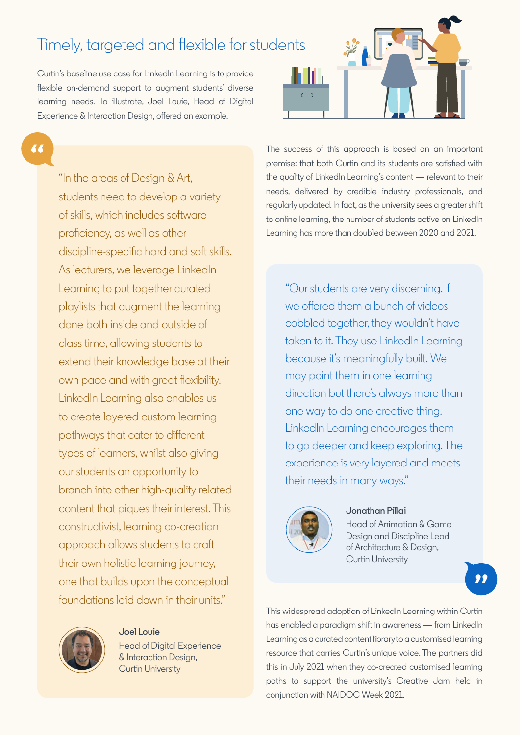# Timely, targeted and flexible for students

Curtin's baseline use case for LinkedIn Learning is to provide flexible on-demand support to augment students' diverse learning needs. To illustrate, Joel Louie, Head of Digital Experience & Interaction Design, offered an example.

66

"In the areas of Design & Art, students need to develop a variety of skills, which includes software proficiency, as well as other discipline-specific hard and soft skills. As lecturers, we leverage LinkedIn Learning to put together curated playlists that augment the learning done both inside and outside of class time, allowing students to extend their knowledge base at their own pace and with great flexibility. LinkedIn Learning also enables us to create layered custom learning pathways that cater to different types of learners, whilst also giving our students an opportunity to branch into other high-quality related content that piques their interest. This constructivist, learning co-creation approach allows students to craft their own holistic learning journey, one that builds upon the conceptual foundations laid down in their units."



#### **Joel Louie**

Head of Digital Experience & Interaction Design, Curtin University



The success of this approach is based on an important premise: that both Curtin and its students are satisfied with the quality of LinkedIn Learning's content — relevant to their needs, delivered by credible industry professionals, and regularly updated. In fact, as the university sees a greater shift to online learning, the number of students active on LinkedIn Learning has more than doubled between 2020 and 2021.

"Our students are very discerning. If we offered them a bunch of videos cobbled together, they wouldn't have taken to it. They use LinkedIn Learning because it's meaningfully built. We may point them in one learning direction but there's always more than one way to do one creative thing. LinkedIn Learning encourages them to go deeper and keep exploring. The experience is very layered and meets their needs in many ways."



#### **Jonathan Pillai**

Head of Animation & Game Design and Discipline Lead of Architecture & Design, Curtin University

99

This widespread adoption of LinkedIn Learning within Curtin has enabled a paradigm shift in awareness — from LinkedIn Learning as a curated content library to a customised learning resource that carries Curtin's unique voice. The partners did this in July 2021 when they co-created customised learning paths to support the university's Creative Jam held in conjunction with NAIDOC Week 2021.